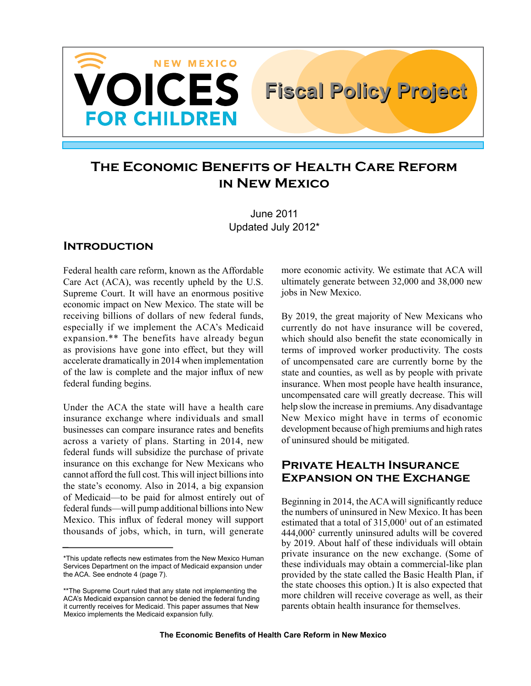

# **The Economic Benefits of Health Care Reform in New Mexico**

June 2011 Updated July 2012\*

### **Introduction**

Federal health care reform, known as the Affordable Care Act (ACA), was recently upheld by the U.S. Supreme Court. It will have an enormous positive economic impact on New Mexico. The state will be receiving billions of dollars of new federal funds, especially if we implement the ACA's Medicaid expansion.\*\* The benefits have already begun as provisions have gone into effect, but they will accelerate dramatically in 2014 when implementation of the law is complete and the major influx of new federal funding begins.

Under the ACA the state will have a health care insurance exchange where individuals and small businesses can compare insurance rates and benefits across a variety of plans. Starting in 2014, new federal funds will subsidize the purchase of private insurance on this exchange for New Mexicans who cannot afford the full cost. This will inject billions into the state's economy. Also in 2014, a big expansion of Medicaid—to be paid for almost entirely out of federal funds—will pump additional billions into New Mexico. This influx of federal money will support thousands of jobs, which, in turn, will generate more economic activity. We estimate that ACA will ultimately generate between 32,000 and 38,000 new jobs in New Mexico.

By 2019, the great majority of New Mexicans who currently do not have insurance will be covered, which should also benefit the state economically in terms of improved worker productivity. The costs of uncompensated care are currently borne by the state and counties, as well as by people with private insurance. When most people have health insurance, uncompensated care will greatly decrease. This will help slow the increase in premiums. Any disadvantage New Mexico might have in terms of economic development because of high premiums and high rates of uninsured should be mitigated.

### **Private Health Insurance Expansion on the Exchange**

Beginning in 2014, the ACA will significantly reduce the numbers of uninsured in New Mexico. It has been estimated that a total of 315,000<sup>1</sup> out of an estimated 444,0002 currently uninsured adults will be covered by 2019. About half of these individuals will obtain private insurance on the new exchange. (Some of these individuals may obtain a commercial-like plan provided by the state called the Basic Health Plan, if the state chooses this option.) It is also expected that more children will receive coverage as well, as their parents obtain health insurance for themselves.

<sup>\*</sup>This update reflects new estimates from the New Mexico Human Services Department on the impact of Medicaid expansion under the ACA. See endnote 4 (page 7).

<sup>\*\*</sup>The Supreme Court ruled that any state not implementing the ACA's Medicaid expansion cannot be denied the federal funding it currently receives for Medicaid. This paper assumes that New Mexico implements the Medicaid expansion fully.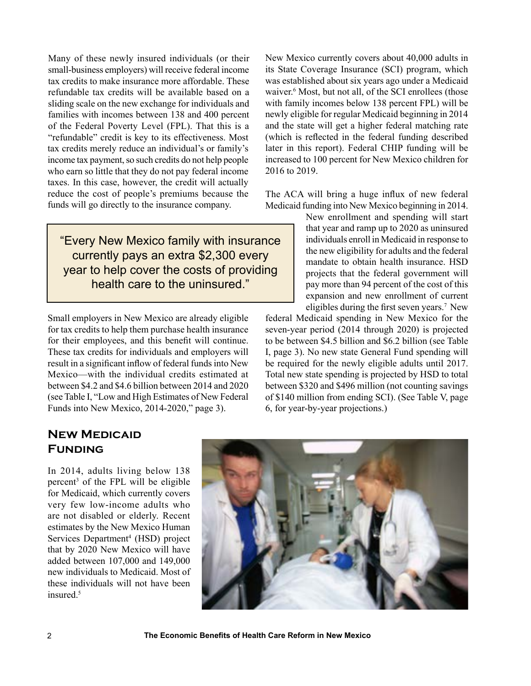Many of these newly insured individuals (or their small-business employers) will receive federal income tax credits to make insurance more affordable. These refundable tax credits will be available based on a sliding scale on the new exchange for individuals and families with incomes between 138 and 400 percent of the Federal Poverty Level (FPL). That this is a "refundable" credit is key to its effectiveness. Most tax credits merely reduce an individual's or family's income tax payment, so such credits do not help people who earn so little that they do not pay federal income taxes. In this case, however, the credit will actually reduce the cost of people's premiums because the funds will go directly to the insurance company.

"Every New Mexico family with insurance currently pays an extra \$2,300 every year to help cover the costs of providing health care to the uninsured."

Small employers in New Mexico are already eligible for tax credits to help them purchase health insurance for their employees, and this benefit will continue. These tax credits for individuals and employers will result in a significant inflow of federal funds into New Mexico—with the individual credits estimated at between \$4.2 and \$4.6 billion between 2014 and 2020 (see Table I, "Low and High Estimates of New Federal Funds into New Mexico, 2014-2020," page 3).

New Mexico currently covers about 40,000 adults in its State Coverage Insurance (SCI) program, which was established about six years ago under a Medicaid waiver.6 Most, but not all, of the SCI enrollees (those with family incomes below 138 percent FPL) will be newly eligible for regular Medicaid beginning in 2014 and the state will get a higher federal matching rate (which is reflected in the federal funding described later in this report). Federal CHIP funding will be increased to 100 percent for New Mexico children for 2016 to 2019.

The ACA will bring a huge influx of new federal Medicaid funding into New Mexico beginning in 2014.

> New enrollment and spending will start that year and ramp up to 2020 as uninsured individuals enroll in Medicaid in response to the new eligibility for adults and the federal mandate to obtain health insurance. HSD projects that the federal government will pay more than 94 percent of the cost of this expansion and new enrollment of current eligibles during the first seven years.7 New

federal Medicaid spending in New Mexico for the seven-year period (2014 through 2020) is projected to be between \$4.5 billion and \$6.2 billion (see Table I, page 3). No new state General Fund spending will be required for the newly eligible adults until 2017. Total new state spending is projected by HSD to total between \$320 and \$496 million (not counting savings of \$140 million from ending SCI). (See Table V, page 6, for year-by-year projections.)

# **New Medicaid Funding**

In 2014, adults living below 138 percent3 of the FPL will be eligible for Medicaid, which currently covers very few low-income adults who are not disabled or elderly. Recent estimates by the New Mexico Human Services Department<sup>4</sup> (HSD) project that by 2020 New Mexico will have added between 107,000 and 149,000 new individuals to Medicaid. Most of these individuals will not have been insured.<sup>5</sup>

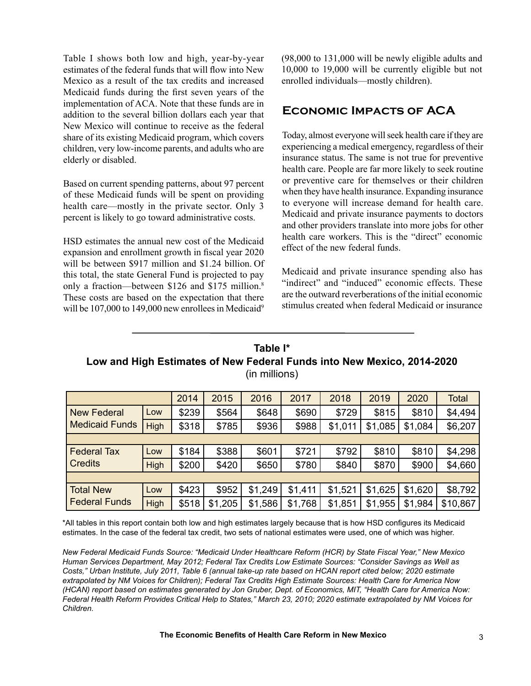Table I shows both low and high, year-by-year estimates of the federal funds that will flow into New Mexico as a result of the tax credits and increased Medicaid funds during the first seven years of the implementation of ACA. Note that these funds are in addition to the several billion dollars each year that New Mexico will continue to receive as the federal share of its existing Medicaid program, which covers children, very low-income parents, and adults who are elderly or disabled.

Based on current spending patterns, about 97 percent of these Medicaid funds will be spent on providing health care—mostly in the private sector. Only 3 percent is likely to go toward administrative costs.

HSD estimates the annual new cost of the Medicaid expansion and enrollment growth in fiscal year 2020 will be between \$917 million and \$1.24 billion. Of this total, the state General Fund is projected to pay only a fraction—between \$126 and \$175 million.<sup>8</sup> These costs are based on the expectation that there will be 107,000 to 149,000 new enrollees in Medicaid<sup>9</sup>

(98,000 to 131,000 will be newly eligible adults and 10,000 to 19,000 will be currently eligible but not enrolled individuals—mostly children).

# **Economic Impacts of ACA**

Today, almost everyone will seek health care if they are experiencing a medical emergency, regardless of their insurance status. The same is not true for preventive health care. People are far more likely to seek routine or preventive care for themselves or their children when they have health insurance. Expanding insurance to everyone will increase demand for health care. Medicaid and private insurance payments to doctors and other providers translate into more jobs for other health care workers. This is the "direct" economic effect of the new federal funds.

Medicaid and private insurance spending also has "indirect" and "induced" economic effects. These are the outward reverberations of the initial economic stimulus created when federal Medicaid or insurance

# **Table I\* Low and High Estimates of New Federal Funds into New Mexico, 2014-2020** (in millions)

|                                             |             | 2014  | 2015    | 2016    | 2017    | 2018    | 2019    | 2020    | <b>Total</b> |
|---------------------------------------------|-------------|-------|---------|---------|---------|---------|---------|---------|--------------|
| <b>New Federal</b><br><b>Medicaid Funds</b> | Low         | \$239 | \$564   | \$648   | \$690   | \$729   | \$815   | \$810   | \$4,494      |
|                                             | <b>High</b> | \$318 | \$785   | \$936   | \$988   | \$1,011 | \$1,085 | \$1,084 | \$6,207      |
|                                             |             |       |         |         |         |         |         |         |              |
| <b>Federal Tax</b><br><b>Credits</b>        | Low         | \$184 | \$388   | \$601   | \$721   | \$792   | \$810   | \$810   | \$4,298      |
|                                             | <b>High</b> | \$200 | \$420   | \$650   | \$780   | \$840   | \$870   | \$900   | \$4,660      |
|                                             |             |       |         |         |         |         |         |         |              |
| <b>Total New</b><br><b>Federal Funds</b>    | LOW         | \$423 | \$952   | \$1,249 | \$1,411 | \$1,521 | \$1,625 | \$1,620 | \$8,792      |
|                                             | High        | \$518 | \$1,205 | \$1,586 | \$1,768 | \$1,851 | \$1,955 | \$1,984 | \$10,867     |

\*All tables in this report contain both low and high estimates largely because that is how HSD configures its Medicaid estimates. In the case of the federal tax credit, two sets of national estimates were used, one of which was higher.

*New Federal Medicaid Funds Source: "Medicaid Under Healthcare Reform (HCR) by State Fiscal Year," New Mexico Human Services Department, May 2012; Federal Tax Credits Low Estimate Sources: "Consider Savings as Well as Costs," Urban Institute, July 2011, Table 6 (annual take-up rate based on HCAN report cited below; 2020 estimate extrapolated by NM Voices for Children); Federal Tax Credits High Estimate Sources: Health Care for America Now (HCAN) report based on estimates generated by Jon Gruber, Dept. of Economics, MIT, "Health Care for America Now: Federal Health Reform Provides Critical Help to States," March 23, 2010; 2020 estimate extrapolated by NM Voices for Children.*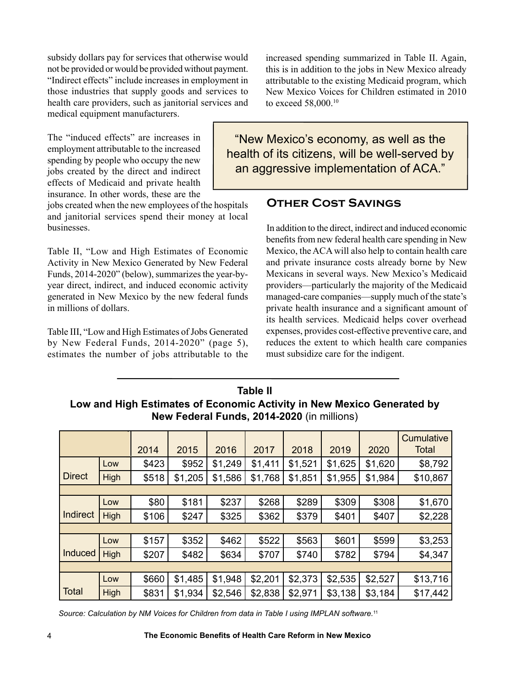subsidy dollars pay for services that otherwise would not be provided or would be provided without payment. "Indirect effects" include increases in employment in those industries that supply goods and services to health care providers, such as janitorial services and medical equipment manufacturers.

The "induced effects" are increases in employment attributable to the increased spending by people who occupy the new jobs created by the direct and indirect effects of Medicaid and private health insurance. In other words, these are the

jobs created when the new employees of the hospitals and janitorial services spend their money at local businesses.

Table II, "Low and High Estimates of Economic Activity in New Mexico Generated by New Federal Funds, 2014-2020" (below), summarizes the year-byyear direct, indirect, and induced economic activity generated in New Mexico by the new federal funds in millions of dollars.

Table III, "Low and High Estimates of Jobs Generated by New Federal Funds, 2014-2020" (page 5), estimates the number of jobs attributable to the increased spending summarized in Table II. Again, this is in addition to the jobs in New Mexico already attributable to the existing Medicaid program, which New Mexico Voices for Children estimated in 2010 to exceed 58,000.10

"New Mexico's economy, as well as the health of its citizens, will be well-served by an aggressive implementation of ACA."

#### **Other Cost Savings**

In addition to the direct, indirect and induced economic benefits from new federal health care spending in New Mexico, the ACA will also help to contain health care and private insurance costs already borne by New Mexicans in several ways. New Mexico's Medicaid providers—particularly the majority of the Medicaid managed-care companies—supply much of the state's private health insurance and a significant amount of its health services. Medicaid helps cover overhead expenses, provides cost-effective preventive care, and reduces the extent to which health care companies must subsidize care for the indigent.

| Table II                                                               |
|------------------------------------------------------------------------|
| Low and High Estimates of Economic Activity in New Mexico Generated by |
| New Federal Funds, 2014-2020 (in millions)                             |

|               |             | 2014  | 2015    | 2016    | 2017    | 2018    | 2019    | 2020    | Cumulative<br><b>Total</b> |
|---------------|-------------|-------|---------|---------|---------|---------|---------|---------|----------------------------|
|               | Low         | \$423 | \$952   | \$1,249 | \$1,411 | \$1,521 | \$1,625 | \$1,620 | \$8,792                    |
| <b>Direct</b> | High        | \$518 | \$1,205 | \$1,586 | \$1,768 | \$1,851 | \$1,955 | \$1,984 | \$10,867                   |
|               |             |       |         |         |         |         |         |         |                            |
|               | Low         | \$80  | \$181   | \$237   | \$268   | \$289   | \$309   | \$308   | \$1,670                    |
| Indirect      | High        | \$106 | \$247   | \$325   | \$362   | \$379   | \$401   | \$407   | \$2,228                    |
|               |             |       |         |         |         |         |         |         |                            |
|               | Low         | \$157 | \$352   | \$462   | \$522   | \$563   | \$601   | \$599   | \$3,253                    |
| Induced       | <b>High</b> | \$207 | \$482   | \$634   | \$707   | \$740   | \$782   | \$794   | \$4,347                    |
|               |             |       |         |         |         |         |         |         |                            |
|               | Low         | \$660 | \$1,485 | \$1,948 | \$2,201 | \$2,373 | \$2,535 | \$2,527 | \$13,716                   |
| <b>Total</b>  | High        | \$831 | \$1,934 | \$2,546 | \$2,838 | \$2,971 | \$3,138 | \$3,184 | \$17,442                   |

*Source: Calculation by NM Voices for Children from data in Table I using IMPLAN software.*<sup>11</sup>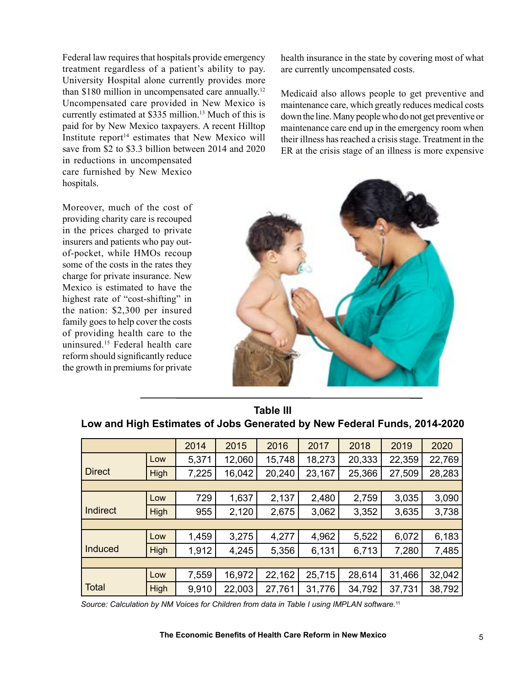Federal law requires that hospitals provide emergency treatment regardless of a patient's ability to pay. University Hospital alone currently provides more than \$180 million in uncompensated care annually.<sup>12</sup> Uncompensated care provided in New Mexico is currently estimated at \$335 million.<sup>13</sup> Much of this is paid for by New Mexico taxpayers. A recent Hilltop Institute report $14$  estimates that New Mexico will save from \$2 to \$3.3 billion between 2014 and 2020 in reductions in uncompensated

care furnished by New Mexico hospitals.

health insurance in the state by covering most of what are currently uncompensated costs.

Medicaid also allows people to get preventive and maintenance care, which greatly reduces medical costs down the line. Many people who do not get preventive or maintenance care end up in the emergency room when their illness has reached a crisis stage. Treatment in the ER at the crisis stage of an illness is more expensive

Moreover, much of the cost of providing charity care is recouped in the prices charged to private insurers and patients who pay outof-pocket, while HMOs recoup some of the costs in the rates they charge for private insurance. New Mexico is estimated to have the highest rate of "cost-shifting" in the nation: \$2,300 per insured family goes to help cover the costs of providing health care to the uninsured.15 Federal health care reform should significantly reduce the growth in premiums for private



|                 |             | 2014  | 2015   | 2016   | 2017   | 2018   | 2019   | 2020   |  |
|-----------------|-------------|-------|--------|--------|--------|--------|--------|--------|--|
|                 | Low         | 5,371 | 12,060 | 15,748 | 18,273 | 20,333 | 22,359 | 22,769 |  |
| <b>Direct</b>   | High        | 7,225 | 16,042 | 20,240 | 23,167 | 25,366 | 27,509 | 28,283 |  |
|                 |             |       |        |        |        |        |        |        |  |
|                 | Low         | 729   | 1,637  | 2,137  | 2,480  | 2,759  | 3,035  | 3,090  |  |
| <b>Indirect</b> | High        | 955   | 2,120  | 2,675  | 3,062  | 3,352  | 3,635  | 3,738  |  |
|                 |             |       |        |        |        |        |        |        |  |
|                 | Low         | 1,459 | 3,275  | 4,277  | 4,962  | 5,522  | 6,072  | 6,183  |  |
| Induced         | <b>High</b> | 1,912 | 4,245  | 5,356  | 6,131  | 6,713  | 7,280  | 7,485  |  |
|                 |             |       |        |        |        |        |        |        |  |
|                 | Low         | 7,559 | 16,972 | 22,162 | 25,715 | 28,614 | 31,466 | 32,042 |  |
| <b>Total</b>    | High        | 9,910 | 22,003 | 27,761 | 31,776 | 34,792 | 37,731 | 38,792 |  |

**Table III Low and High Estimates of Jobs Generated by New Federal Funds, 2014-2020**

*Source: Calculation by NM Voices for Children from data in Table I using IMPLAN software.*11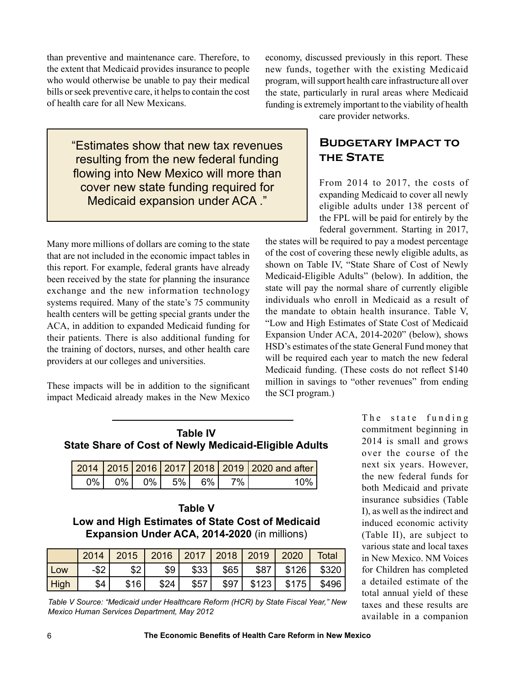than preventive and maintenance care. Therefore, to the extent that Medicaid provides insurance to people who would otherwise be unable to pay their medical bills or seek preventive care, it helps to contain the cost of health care for all New Mexicans.

> "Estimates show that new tax revenues resulting from the new federal funding flowing into New Mexico will more than cover new state funding required for Medicaid expansion under ACA ."

Many more millions of dollars are coming to the state that are not included in the economic impact tables in this report. For example, federal grants have already been received by the state for planning the insurance exchange and the new information technology systems required. Many of the state's 75 community health centers will be getting special grants under the ACA, in addition to expanded Medicaid funding for their patients. There is also additional funding for the training of doctors, nurses, and other health care providers at our colleges and universities.

These impacts will be in addition to the significant impact Medicaid already makes in the New Mexico economy, discussed previously in this report. These new funds, together with the existing Medicaid program, will support health care infrastructure all over the state, particularly in rural areas where Medicaid funding is extremely important to the viability of health

care provider networks.

# **Budgetary Impact to THE STATE**

From 2014 to 2017, the costs of expanding Medicaid to cover all newly eligible adults under 138 percent of the FPL will be paid for entirely by the federal government. Starting in 2017,

the states will be required to pay a modest percentage of the cost of covering these newly eligible adults, as shown on Table IV, "State Share of Cost of Newly Medicaid-Eligible Adults" (below). In addition, the state will pay the normal share of currently eligible individuals who enroll in Medicaid as a result of the mandate to obtain health insurance. Table V, "Low and High Estimates of State Cost of Medicaid Expansion Under ACA, 2014-2020" (below), shows HSD's estimates of the state General Fund money that will be required each year to match the new federal Medicaid funding. (These costs do not reflect \$140 million in savings to "other revenues" from ending the SCI program.)

| <b>Table IV</b>                                       |
|-------------------------------------------------------|
| State Share of Cost of Newly Medicaid-Eligible Adults |

|      |      |            |      | 2014 2015 2016 2017 2018 2019 2020 and after |
|------|------|------------|------|----------------------------------------------|
| 0% L | 0% l | 0% 5% 6% 1 | . 7% | $10\%$                                       |

**Table V Low and High Estimates of State Cost of Medicaid Expansion Under ACA, 2014-2020** (in millions)

|      | 2014    | 2015   2016   2017   2018   2019   2020 |      |      |       |       |       | <b>Total</b> |
|------|---------|-----------------------------------------|------|------|-------|-------|-------|--------------|
| Low  | $-$ \$2 | \$2                                     | \$9  | \$33 | $$65$ | \$87  | \$126 | \$320        |
| High | \$4     | \$16                                    | \$24 | \$57 | \$97  | \$123 | \$175 | \$496        |

*Table V Source: "Medicaid under Healthcare Reform (HCR) by State Fiscal Year," New Mexico Human Services Department, May 2012*

The state funding commitment beginning in 2014 is small and grows over the course of the next six years. However, the new federal funds for both Medicaid and private insurance subsidies (Table I), as well as the indirect and induced economic activity (Table II), are subject to various state and local taxes in New Mexico. NM Voices for Children has completed a detailed estimate of the total annual yield of these taxes and these results are available in a companion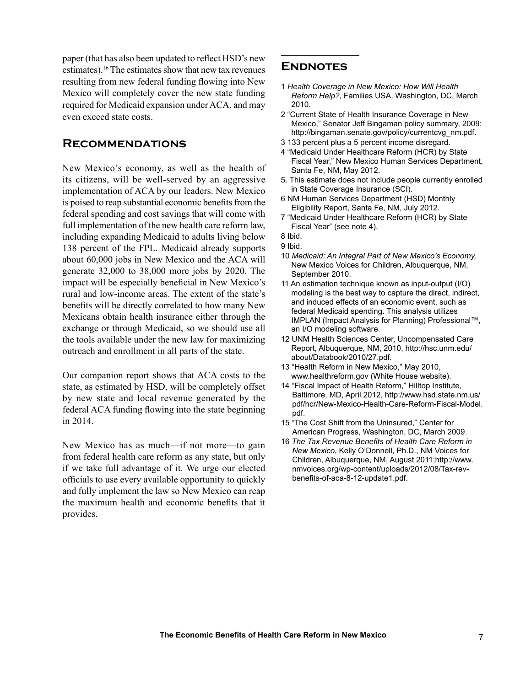paper (that has also been updated to reflect HSD's new estimates).16 The estimates show that new tax revenues resulting from new federal funding flowing into New Mexico will completely cover the new state funding required for Medicaid expansion under ACA, and may even exceed state costs.

#### **Recommendations**

New Mexico's economy, as well as the health of its citizens, will be well-served by an aggressive implementation of ACA by our leaders. New Mexico is poised to reap substantial economic benefits from the federal spending and cost savings that will come with full implementation of the new health care reform law, including expanding Medicaid to adults living below 138 percent of the FPL. Medicaid already supports about 60,000 jobs in New Mexico and the ACA will generate 32,000 to 38,000 more jobs by 2020. The impact will be especially beneficial in New Mexico's rural and low-income areas. The extent of the state's benefits will be directly correlated to how many New Mexicans obtain health insurance either through the exchange or through Medicaid, so we should use all the tools available under the new law for maximizing outreach and enrollment in all parts of the state.

Our companion report shows that ACA costs to the state, as estimated by HSD, will be completely offset by new state and local revenue generated by the federal ACA funding flowing into the state beginning in 2014.

New Mexico has as much—if not more—to gain from federal health care reform as any state, but only if we take full advantage of it. We urge our elected officials to use every available opportunity to quickly and fully implement the law so New Mexico can reap the maximum health and economic benefits that it provides.

#### **Endnotes**

- 1 *Health Coverage in New Mexico: How Will Health Reform Help?*, Families USA, Washington, DC, March 2010.
- 2 "Current State of Health Insurance Coverage in New Mexico," Senator Jeff Bingaman policy summary, 2009: http://bingaman.senate.gov/policy/currentcvg\_nm.pdf.
- 3 133 percent plus a 5 percent income disregard.
- 4 "Medicaid Under Healthcare Reform (HCR) by State Fiscal Year," New Mexico Human Services Department, Santa Fe, NM, May 2012.
- 5. This estimate does not include people currently enrolled in State Coverage Insurance (SCI).
- 6 NM Human Services Department (HSD) Monthly Eligibility Report, Santa Fe, NM, July 2012.
- 7 "Medicaid Under Healthcare Reform (HCR) by State Fiscal Year" (see note 4).

- 9 Ibid.
- 10 *Medicaid: An Integral Part of New Mexico's Economy,*  New Mexico Voices for Children, Albuquerque, NM, September 2010.
- 11 An estimation technique known as input-output (I/O) modeling is the best way to capture the direct, indirect, and induced effects of an economic event, such as federal Medicaid spending. This analysis utilizes IMPLAN (Impact Analysis for Planning) Professional™, an I/O modeling software.
- 12 UNM Health Sciences Center, Uncompensated Care Report, Albuquerque, NM, 2010, http://hsc.unm.edu/ about/Databook/2010/27.pdf.
- 13 "Health Reform in New Mexico," May 2010, www.healthreform.gov (White House website).
- 14 "Fiscal Impact of Health Reform," Hilltop Institute, Baltimore, MD, April 2012, http://www.hsd.state.nm.us/ pdf/hcr/New-Mexico-Health-Care-Reform-Fiscal-Model. pdf.
- 15 "The Cost Shift from the Uninsured," Center for American Progress, Washington, DC, March 2009.
- 16 *The Tax Revenue Benefits of Health Care Reform in New Mexico*, Kelly O'Donnell, Ph.D., NM Voices for Children, Albuquerque, NM, August 2011;http://www. nmvoices.org/wp-content/uploads/2012/08/Tax-revbenefits-of-aca-8-12-update1.pdf.

<sup>8</sup> Ibid.